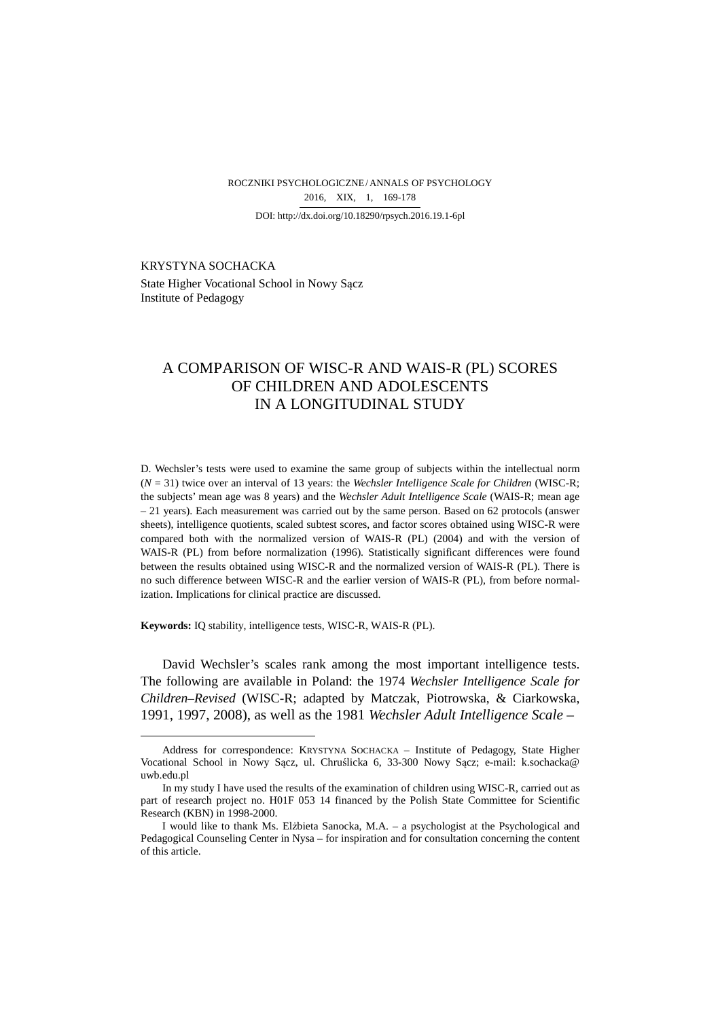ROCZNIKI PSYCHOLOGICZNE/ ANNALS OF PSYCHOLOGY DOI: http://dx.doi.org/10.18290/rpsych.2016.19.1-6pl 2016, XIX, 1, 169-178

KRYSTYNA SOCHACKA<sup>1</sup> State Higher Vocational School in Nowy Sącz Institute of Pedagogy

# A COMPARISON OF WISC-R AND WAIS-R (PL) SCORES OF CHILDREN AND ADOLESCENTS IN A LONGITUDINAL STUDY

D. Wechsler's tests were used to examine the same group of subjects within the intellectual norm (*N* = 31) twice over an interval of 13 years: the *Wechsler Intelligence Scale for Children* (WISC-R; the subjects' mean age was 8 years) and the *Wechsler Adult Intelligence Scale* (WAIS-R; mean age – 21 years). Each measurement was carried out by the same person. Based on 62 protocols (answer sheets), intelligence quotients, scaled subtest scores, and factor scores obtained using WISC-R were compared both with the normalized version of WAIS-R (PL) (2004) and with the version of WAIS-R (PL) from before normalization (1996). Statistically significant differences were found between the results obtained using WISC-R and the normalized version of WAIS-R (PL). There is no such difference between WISC-R and the earlier version of WAIS-R (PL), from before normalization. Implications for clinical practice are discussed.

**Keywords:** IQ stability, intelligence tests, WISC-R, WAIS-R (PL).

 $\overline{a}$ 

David Wechsler's scales rank among the most important intelligence tests. The following are available in Poland: the 1974 *Wechsler Intelligence Scale for Children–Revised* (WISC-R; adapted by Matczak, Piotrowska, & Ciarkowska, 1991, 1997, 2008), as well as the 1981 *Wechsler Adult Intelligence Scale –*

Address for correspondence: KRYSTYNA SOCHACKA – Institute of Pedagogy, State Higher Vocational School in Nowy Sącz, ul. Chruślicka 6, 33-300 Nowy Sącz; e-mail: k.sochacka@ uwb.edu.pl

In my study I have used the results of the examination of children using WISC-R, carried out as part of research project no. H01F 053 14 financed by the Polish State Committee for Scientific Research (KBN) in 1998-2000.

I would like to thank Ms. Elżbieta Sanocka, M.A. – a psychologist at the Psychological and Pedagogical Counseling Center in Nysa – for inspiration and for consultation concerning the content of this article.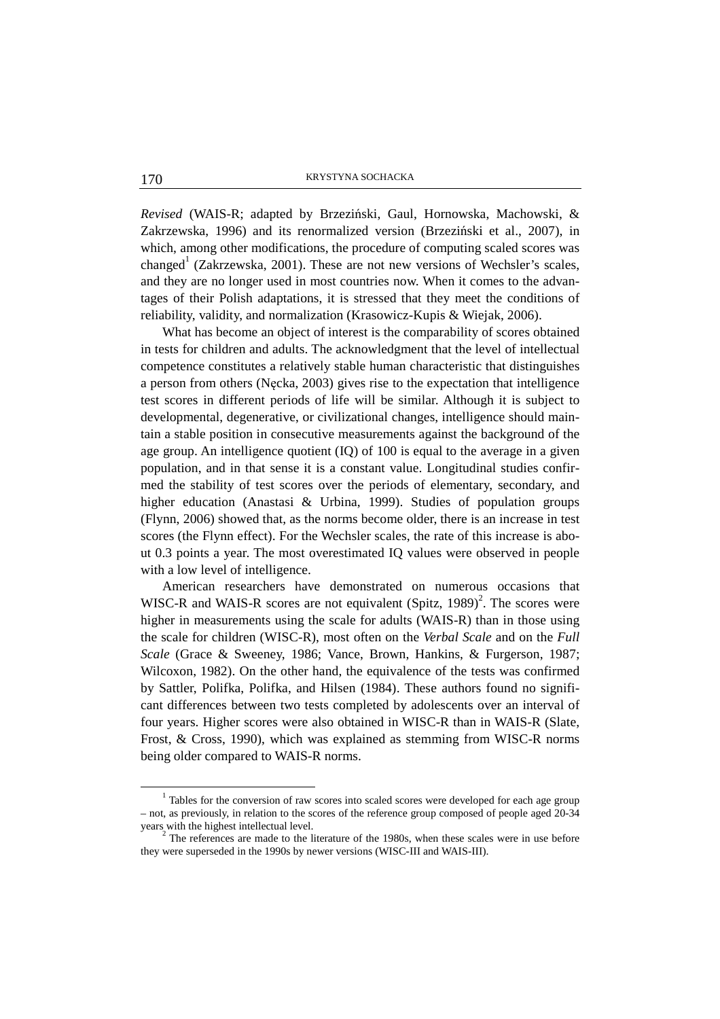*Revised* (WAIS-R; adapted by Brzeziński, Gaul, Hornowska, Machowski, & Zakrzewska, 1996) and its renormalized version (Brzeziński et al., 2007), in which, among other modifications, the procedure of computing scaled scores was changed<sup>1</sup> (Zakrzewska, 2001). These are not new versions of Wechsler's scales, and they are no longer used in most countries now. When it comes to the advantages of their Polish adaptations, it is stressed that they meet the conditions of reliability, validity, and normalization (Krasowicz-Kupis & Wiejak, 2006).

What has become an object of interest is the comparability of scores obtained in tests for children and adults. The acknowledgment that the level of intellectual competence constitutes a relatively stable human characteristic that distinguishes a person from others (Nęcka, 2003) gives rise to the expectation that intelligence test scores in different periods of life will be similar. Although it is subject to developmental, degenerative, or civilizational changes, intelligence should maintain a stable position in consecutive measurements against the background of the age group. An intelligence quotient (IQ) of 100 is equal to the average in a given population, and in that sense it is a constant value. Longitudinal studies confirmed the stability of test scores over the periods of elementary, secondary, and higher education (Anastasi & Urbina, 1999). Studies of population groups (Flynn, 2006) showed that, as the norms become older, there is an increase in test scores (the Flynn effect). For the Wechsler scales, the rate of this increase is about 0.3 points a year. The most overestimated IQ values were observed in people with a low level of intelligence.

American researchers have demonstrated on numerous occasions that WISC-R and WAIS-R scores are not equivalent  $(Spitz, 1989)^2$ . The scores were higher in measurements using the scale for adults (WAIS-R) than in those using the scale for children (WISC-R), most often on the *Verbal Scale* and on the *Full Scale* (Grace & Sweeney, 1986; Vance, Brown, Hankins, & Furgerson, 1987; Wilcoxon, 1982). On the other hand, the equivalence of the tests was confirmed by Sattler, Polifka, Polifka, and Hilsen (1984). These authors found no significant differences between two tests completed by adolescents over an interval of four years. Higher scores were also obtained in WISC-R than in WAIS-R (Slate, Frost, & Cross, 1990), which was explained as stemming from WISC-R norms being older compared to WAIS-R norms.

 $\overline{a}$ 

 $1$  Tables for the conversion of raw scores into scaled scores were developed for each age group – not, as previously, in relation to the scores of the reference group composed of people aged 20-34 years with the highest intellectual level.

 $2^{2}$  The references are made to the literature of the 1980s, when these scales were in use before they were superseded in the 1990s by newer versions (WISC-III and WAIS-III).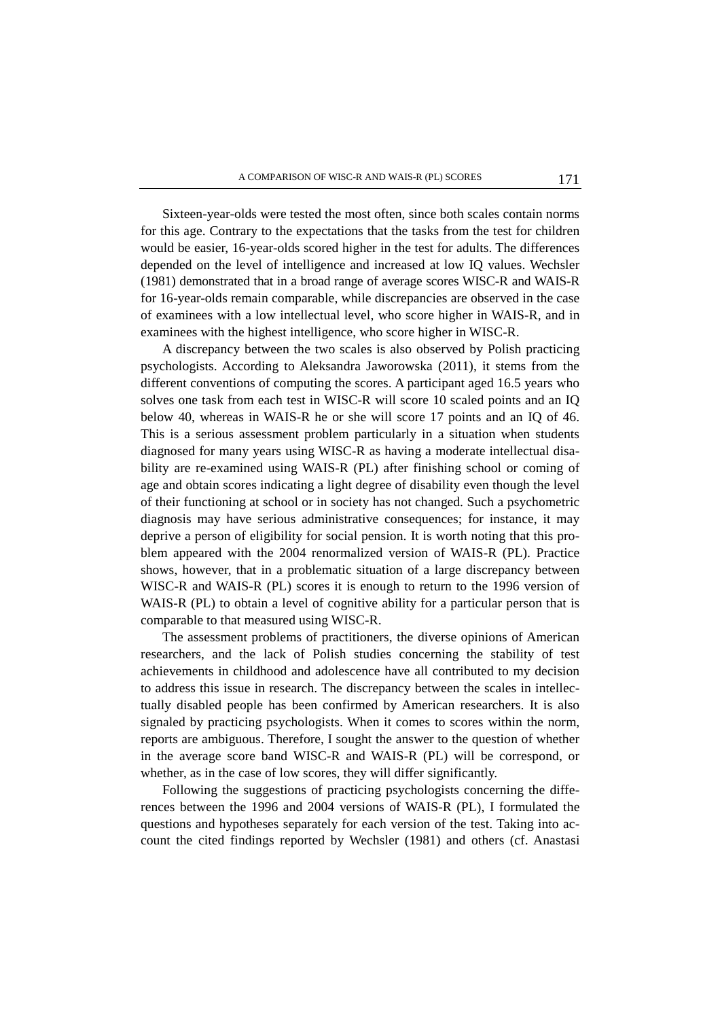Sixteen-year-olds were tested the most often, since both scales contain norms for this age. Contrary to the expectations that the tasks from the test for children would be easier, 16-year-olds scored higher in the test for adults. The differences depended on the level of intelligence and increased at low IQ values. Wechsler (1981) demonstrated that in a broad range of average scores WISC-R and WAIS-R for 16-year-olds remain comparable, while discrepancies are observed in the case of examinees with a low intellectual level, who score higher in WAIS-R, and in examinees with the highest intelligence, who score higher in WISC-R.

A discrepancy between the two scales is also observed by Polish practicing psychologists. According to Aleksandra Jaworowska (2011), it stems from the different conventions of computing the scores. A participant aged 16.5 years who solves one task from each test in WISC-R will score 10 scaled points and an IQ below 40, whereas in WAIS-R he or she will score 17 points and an IQ of 46. This is a serious assessment problem particularly in a situation when students diagnosed for many years using WISC-R as having a moderate intellectual disability are re-examined using WAIS-R (PL) after finishing school or coming of age and obtain scores indicating a light degree of disability even though the level of their functioning at school or in society has not changed. Such a psychometric diagnosis may have serious administrative consequences; for instance, it may deprive a person of eligibility for social pension. It is worth noting that this problem appeared with the 2004 renormalized version of WAIS-R (PL). Practice shows, however, that in a problematic situation of a large discrepancy between WISC-R and WAIS-R (PL) scores it is enough to return to the 1996 version of WAIS-R (PL) to obtain a level of cognitive ability for a particular person that is comparable to that measured using WISC-R.

The assessment problems of practitioners, the diverse opinions of American researchers, and the lack of Polish studies concerning the stability of test achievements in childhood and adolescence have all contributed to my decision to address this issue in research. The discrepancy between the scales in intellectually disabled people has been confirmed by American researchers. It is also signaled by practicing psychologists. When it comes to scores within the norm, reports are ambiguous. Therefore, I sought the answer to the question of whether in the average score band WISC-R and WAIS-R (PL) will be correspond, or whether, as in the case of low scores, they will differ significantly.

Following the suggestions of practicing psychologists concerning the differences between the 1996 and 2004 versions of WAIS-R (PL), I formulated the questions and hypotheses separately for each version of the test. Taking into account the cited findings reported by Wechsler (1981) and others (cf. Anastasi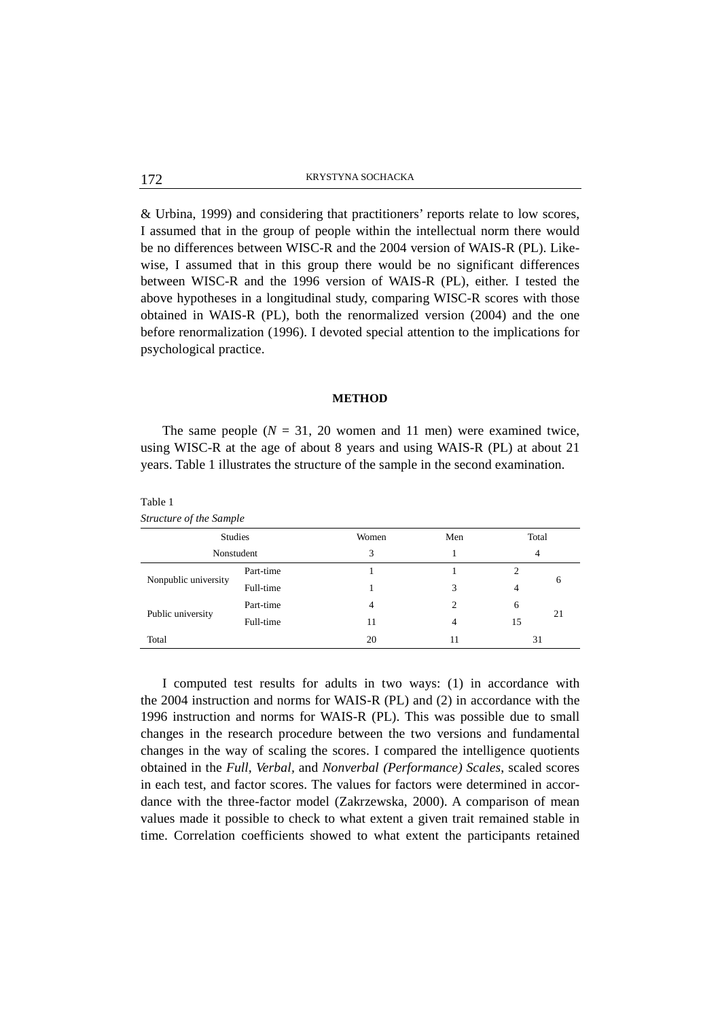& Urbina, 1999) and considering that practitioners' reports relate to low scores, I assumed that in the group of people within the intellectual norm there would be no differences between WISC-R and the 2004 version of WAIS-R (PL). Likewise, I assumed that in this group there would be no significant differences between WISC-R and the 1996 version of WAIS-R (PL), either. I tested the above hypotheses in a longitudinal study, comparing WISC-R scores with those obtained in WAIS-R (PL), both the renormalized version (2004) and the one before renormalization (1996). I devoted special attention to the implications for psychological practice.

#### **METHOD**

The same people  $(N = 31, 20$  women and 11 men) were examined twice, using WISC-R at the age of about 8 years and using WAIS-R (PL) at about 21 years. Table 1 illustrates the structure of the sample in the second examination.

| structure of the sumple |           |       |     |            |    |
|-------------------------|-----------|-------|-----|------------|----|
| <b>Studies</b>          |           | Women | Men | Total<br>4 |    |
| Nonstudent              |           | 3     |     |            |    |
| Nonpublic university    | Part-time |       |     |            | 6  |
|                         | Full-time |       | 3   | 4          |    |
| Public university       | Part-time | 4     | 2   | 6          | 21 |
|                         | Full-time | 11    | 4   | 15         |    |
| Total                   |           | 20    | 11  | 31         |    |

I computed test results for adults in two ways: (1) in accordance with the 2004 instruction and norms for WAIS-R (PL) and (2) in accordance with the 1996 instruction and norms for WAIS-R (PL). This was possible due to small changes in the research procedure between the two versions and fundamental changes in the way of scaling the scores. I compared the intelligence quotients obtained in the *Full, Verbal,* and *Nonverbal (Performance) Scales*, scaled scores in each test, and factor scores. The values for factors were determined in accordance with the three-factor model (Zakrzewska, 2000). A comparison of mean values made it possible to check to what extent a given trait remained stable in time. Correlation coefficients showed to what extent the participants retained

Table 1 *Structure of the Sample*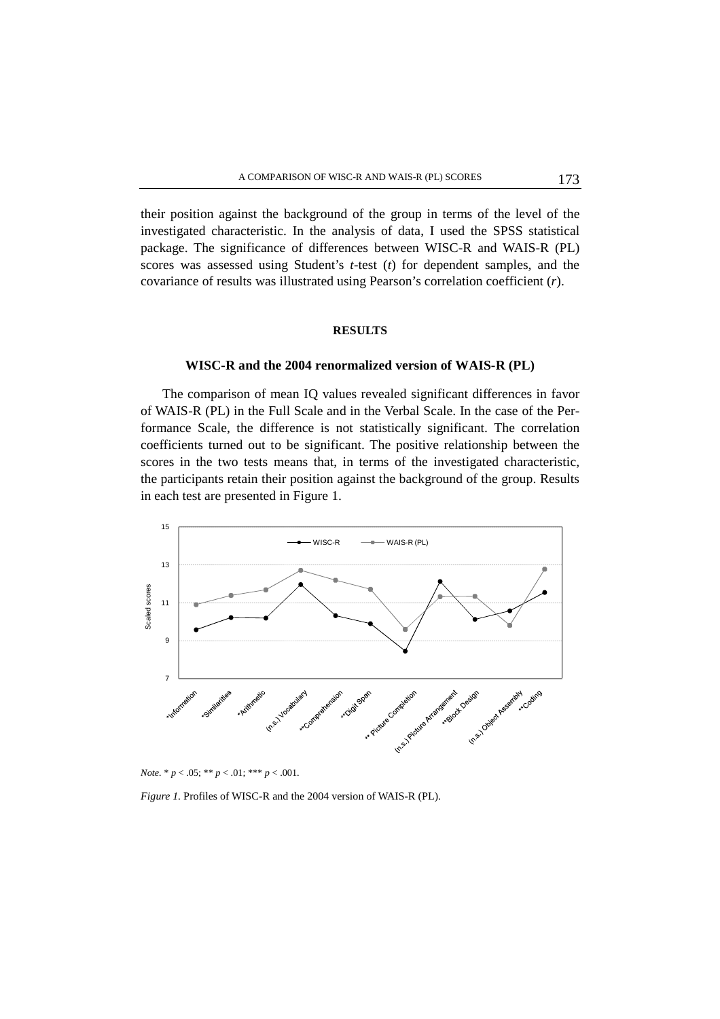their position against the background of the group in terms of the level of the investigated characteristic. In the analysis of data, I used the SPSS statistical package. The significance of differences between WISC-R and WAIS-R (PL) scores was assessed using Student's *t*-test (*t*) for dependent samples, and the covariance of results was illustrated using Pearson's correlation coefficient (*r*).

## **RESULTS**

## **WISC-R and the 2004 renormalized version of WAIS-R (PL)**

The comparison of mean IQ values revealed significant differences in favor of WAIS-R (PL) in the Full Scale and in the Verbal Scale. In the case of the Performance Scale, the difference is not statistically significant. The correlation coefficients turned out to be significant. The positive relationship between the scores in the two tests means that, in terms of the investigated characteristic, the participants retain their position against the background of the group. Results in each test are presented in Figure 1.





*Figure 1.* Profiles of WISC-R and the 2004 version of WAIS-R (PL).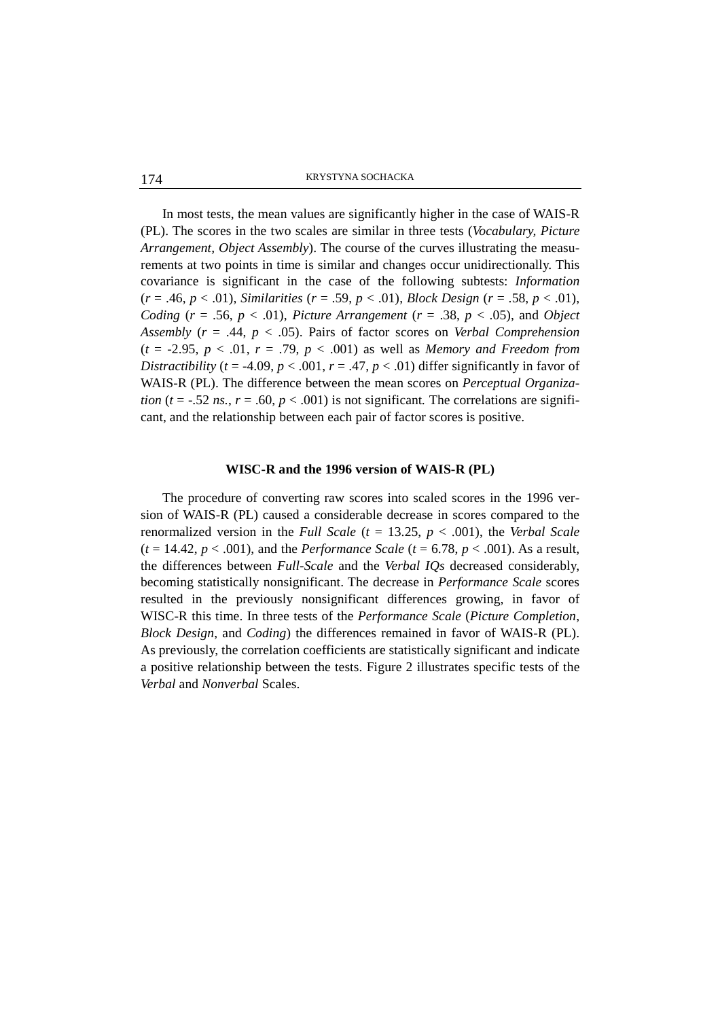KRYSTYNA SOCHACKA 174

In most tests, the mean values are significantly higher in the case of WAIS-R (PL). The scores in the two scales are similar in three tests (*Vocabulary, Picture Arrangement, Object Assembly*). The course of the curves illustrating the measurements at two points in time is similar and changes occur unidirectionally. This covariance is significant in the case of the following subtests: *Information*  (*r* = .46, *p* < .01), *Similarities* (*r* = .59, *p* < .01), *Block Design* (*r* = .58, *p* < .01), *Coding* ( $r = .56$ ,  $p < .01$ ), *Picture Arrangement* ( $r = .38$ ,  $p < .05$ ), and *Object Assembly* (*r* = .44, *p* < .05). Pairs of factor scores on *Verbal Comprehension*   $(t = -2.95, p < .01, r = .79, p < .001)$  as well as *Memory and Freedom from Distractibility* ( $t = -4.09$ ,  $p < .001$ ,  $r = .47$ ,  $p < .01$ ) differ significantly in favor of WAIS-R (PL). The difference between the mean scores on *Perceptual Organization (t* = -.52 *ns., r* = .60, *p* < .001) is not significant. The correlations are significant, and the relationship between each pair of factor scores is positive.

## **WISC-R and the 1996 version of WAIS-R (PL)**

The procedure of converting raw scores into scaled scores in the 1996 version of WAIS-R (PL) caused a considerable decrease in scores compared to the renormalized version in the *Full Scale* (*t* = 13.25, *p* < .001), the *Verbal Scale*  $(t = 14.42, p < .001)$ , and the *Performance Scale*  $(t = 6.78, p < .001)$ . As a result, the differences between *Full-Scale* and the *Verbal IQs* decreased considerably, becoming statistically nonsignificant. The decrease in *Performance Scale* scores resulted in the previously nonsignificant differences growing, in favor of WISC-R this time. In three tests of the *Performance Scale* (*Picture Completion*, *Block Design*, and *Coding*) the differences remained in favor of WAIS-R (PL). As previously, the correlation coefficients are statistically significant and indicate a positive relationship between the tests. Figure 2 illustrates specific tests of the *Verbal* and *Nonverbal* Scales.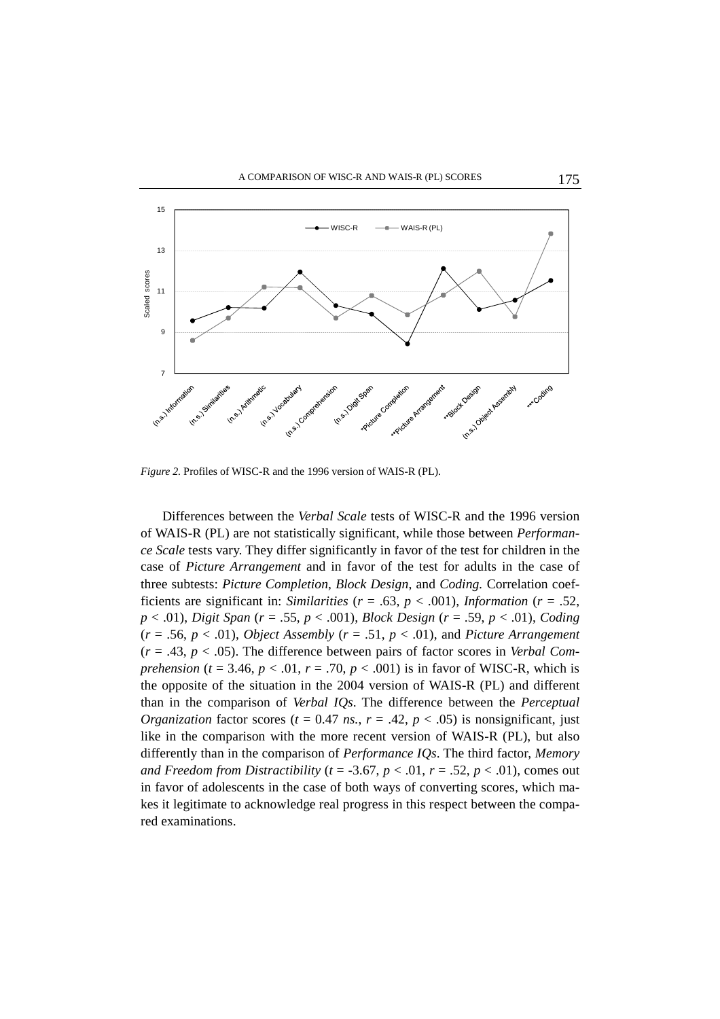

*Figure 2.* Profiles of WISC-R and the 1996 version of WAIS-R (PL).

Differences between the *Verbal Scale* tests of WISC-R and the 1996 version of WAIS-R (PL) are not statistically significant, while those between *Performance Scale* tests vary. They differ significantly in favor of the test for children in the case of *Picture Arrangement* and in favor of the test for adults in the case of three subtests: *Picture Completion*, *Block Design*, and *Coding.* Correlation coefficients are significant in: *Similarities* ( $r = .63$ ,  $p < .001$ ), *Information* ( $r = .52$ , *p* < .01), *Digit Span* (*r* = .55, *p* < .001), *Block Design* (*r* = .59, *p* < .01), *Coding* (*r* = .56, *p* < .01), *Object Assembly* (*r* = .51, *p* < .01), and *Picture Arrangement*  (*r* = .43, *p* < .05). The difference between pairs of factor scores in *Verbal Comprehension* ( $t = 3.46$ ,  $p < .01$ ,  $r = .70$ ,  $p < .001$ ) is in favor of WISC-R, which is the opposite of the situation in the 2004 version of WAIS-R (PL) and different than in the comparison of *Verbal IQs*. The difference between the *Perceptual Organization* factor scores ( $t = 0.47$  *ns.*,  $r = .42$ ,  $p < .05$ ) is nonsignificant, just like in the comparison with the more recent version of WAIS-R (PL), but also differently than in the comparison of *Performance IQs*. The third factor, *Memory and Freedom from Distractibility (* $t = -3.67$ *,*  $p < .01$ *,*  $r = .52$ *,*  $p < .01$ *), comes out* in favor of adolescents in the case of both ways of converting scores, which makes it legitimate to acknowledge real progress in this respect between the compared examinations.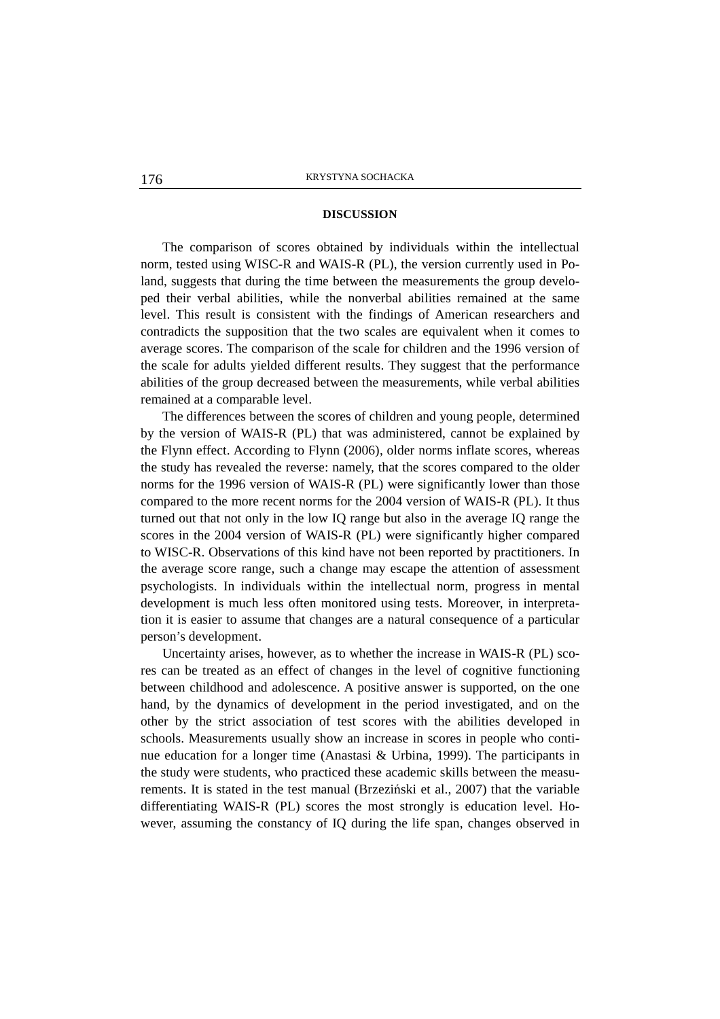### **DISCUSSION**

The comparison of scores obtained by individuals within the intellectual norm, tested using WISC-R and WAIS-R (PL), the version currently used in Poland, suggests that during the time between the measurements the group developed their verbal abilities, while the nonverbal abilities remained at the same level. This result is consistent with the findings of American researchers and contradicts the supposition that the two scales are equivalent when it comes to average scores. The comparison of the scale for children and the 1996 version of the scale for adults yielded different results. They suggest that the performance abilities of the group decreased between the measurements, while verbal abilities remained at a comparable level.

The differences between the scores of children and young people, determined by the version of WAIS-R (PL) that was administered, cannot be explained by the Flynn effect. According to Flynn (2006), older norms inflate scores, whereas the study has revealed the reverse: namely, that the scores compared to the older norms for the 1996 version of WAIS-R (PL) were significantly lower than those compared to the more recent norms for the 2004 version of WAIS-R (PL). It thus turned out that not only in the low IQ range but also in the average IQ range the scores in the 2004 version of WAIS-R (PL) were significantly higher compared to WISC-R. Observations of this kind have not been reported by practitioners. In the average score range, such a change may escape the attention of assessment psychologists. In individuals within the intellectual norm, progress in mental development is much less often monitored using tests. Moreover, in interpretation it is easier to assume that changes are a natural consequence of a particular person's development.

Uncertainty arises, however, as to whether the increase in WAIS-R (PL) scores can be treated as an effect of changes in the level of cognitive functioning between childhood and adolescence. A positive answer is supported, on the one hand, by the dynamics of development in the period investigated, and on the other by the strict association of test scores with the abilities developed in schools. Measurements usually show an increase in scores in people who continue education for a longer time (Anastasi & Urbina, 1999). The participants in the study were students, who practiced these academic skills between the measurements. It is stated in the test manual (Brzeziński et al., 2007) that the variable differentiating WAIS-R (PL) scores the most strongly is education level. However, assuming the constancy of IQ during the life span, changes observed in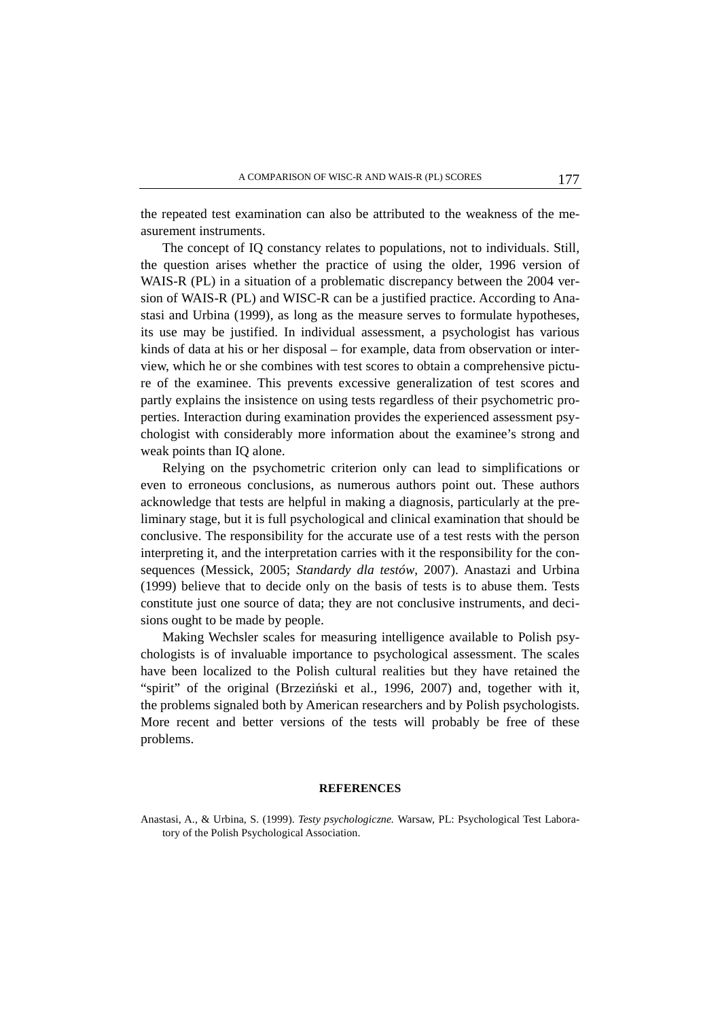the repeated test examination can also be attributed to the weakness of the measurement instruments.

The concept of IQ constancy relates to populations, not to individuals. Still, the question arises whether the practice of using the older, 1996 version of WAIS-R (PL) in a situation of a problematic discrepancy between the 2004 version of WAIS-R (PL) and WISC-R can be a justified practice. According to Anastasi and Urbina (1999), as long as the measure serves to formulate hypotheses, its use may be justified. In individual assessment, a psychologist has various kinds of data at his or her disposal – for example, data from observation or interview, which he or she combines with test scores to obtain a comprehensive picture of the examinee. This prevents excessive generalization of test scores and partly explains the insistence on using tests regardless of their psychometric properties. Interaction during examination provides the experienced assessment psychologist with considerably more information about the examinee's strong and weak points than IQ alone.

Relying on the psychometric criterion only can lead to simplifications or even to erroneous conclusions, as numerous authors point out. These authors acknowledge that tests are helpful in making a diagnosis, particularly at the preliminary stage, but it is full psychological and clinical examination that should be conclusive. The responsibility for the accurate use of a test rests with the person interpreting it, and the interpretation carries with it the responsibility for the consequences (Messick, 2005; *Standardy dla testów*, 2007). Anastazi and Urbina (1999) believe that to decide only on the basis of tests is to abuse them. Tests constitute just one source of data; they are not conclusive instruments, and decisions ought to be made by people.

Making Wechsler scales for measuring intelligence available to Polish psychologists is of invaluable importance to psychological assessment. The scales have been localized to the Polish cultural realities but they have retained the "spirit" of the original (Brzeziński et al., 1996, 2007) and, together with it, the problems signaled both by American researchers and by Polish psychologists. More recent and better versions of the tests will probably be free of these problems.

### **REFERENCES**

Anastasi, A., & Urbina, S. (1999). *Testy psychologiczne.* Warsaw, PL: Psychological Test Laboratory of the Polish Psychological Association.